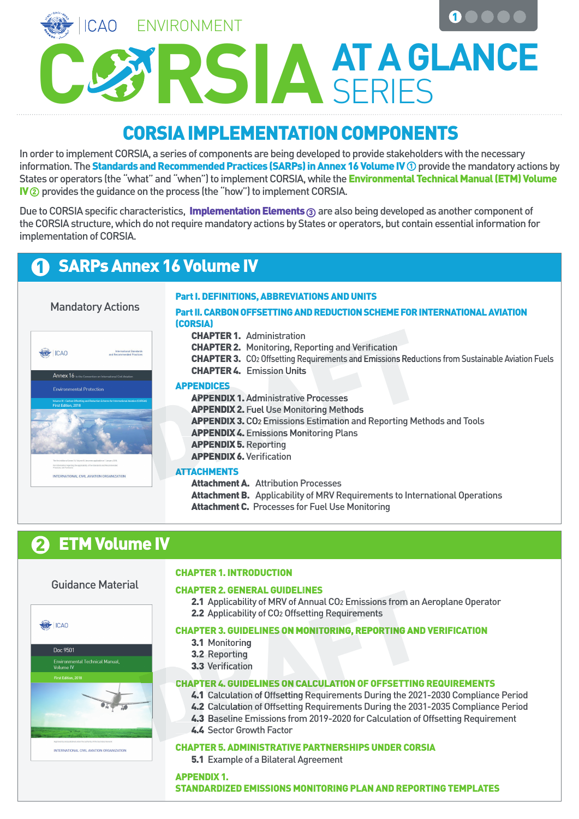**ICAO** ENVIRONMENT 1

 $\sum$  **AT A GLANCE** 

# CORSIA IMPLEMENTATION COMPONENTS

In order to implement CORSIA, a series of components are being developed to provide stakeholders with the necessary information. The **Standards and Recommended Practices (SARPs) in Annex 16 Volume IV**  $\mathbb O$  **provide the mandatory actions by** States or operators (the "what" and "when") to implement CORSIA, while the **Environmental Technical Manual (ETM) Volume** IV  $\Omega$  provides the guidance on the process (the "how") to implement CORSIA.

Due to CORSIA specific characteristics, Implementation Elements 3 are also being developed as another component of the CORSIA structure, which do not require mandatory actions by States or operators, but contain essential information for implementation of CORSIA.

# 1 SARPs Annex 16 Volume IV



#### Attachment B. Applicability of MRV Requirements to International Operations Attachment C. Processes for Fuel Use Monitoring

# 2 ETM Volume IV

### Guidance Material

.<br>Environmental Technical Manual,<br>Volume IV

INTERNATIONAL CIVIL AVIATION ORGANIZATION

First Edition, 2018

Doc 9501

**ARCHICAO** 

#### CHAPTER 1. INTRODUCTION

#### CHAPTER 2. GENERAL GUIDELINES

2.1 Applicability of MRV of Annual CO<sub>2</sub> Emissions from an Aeroplane Operator 2.2 Applicability of CO<sub>2</sub> Offsetting Requirements 2.1 Applicability of MRV of Annual CO<sub>2</sub> Emissions from an A<br>2.2 Applicability of CO<sub>2</sub> Offsetting Requirements<br>CHAPTER 3. GUIDELINES ON MONITORING, REPORTING AND<br>3.1 Monitoring<br>3.2 Reporting<br>3.2 Reporting<br>3.2 Verification



- 3.1 Monitoring
- 3.2 Reporting
- 3.3 Verification

#### CHAPTER 4. GUIDELINES ON CALCULATION OF OFFSETTING REQUIREMENTS

- 4.1 Calculation of Offsetting Requirements During the 2021-2030 Compliance Period
- 4.2 Calculation of Offsetting Requirements During the 2031-2035 Compliance Period
- 4.3 Baseline Emissions from 2019-2020 for Calculation of Offsetting Requirement
- 4.4 Sector Growth Factor

#### CHAPTER 5. ADMINISTRATIVE PARTNERSHIPS UNDER CORSIA

**5.1** Example of a Bilateral Agreement

APPENDIX 1. STANDARDIZED EMISSIONS MONITORING PLAN AND REPORTING TEMPLATES